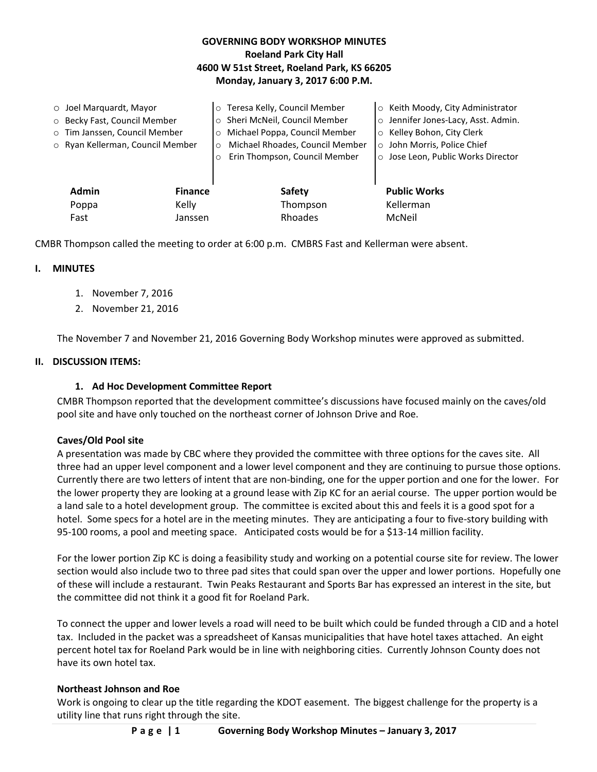# **GOVERNING BODY WORKSHOP MINUTES Roeland Park City Hall 4600 W 51st Street, Roeland Park, KS 66205 Monday, January 3, 2017 6:00 P.M.**

| $\circ$ Joel Marquardt, Mayor    |                | o Teresa Kelly, Council Member             | ○ Keith Moody, City Administrator   |  |
|----------------------------------|----------------|--------------------------------------------|-------------------------------------|--|
| O Becky Fast, Council Member     |                | o Sheri McNeil, Council Member             | o Jennifer Jones-Lacy, Asst. Admin. |  |
| o Tim Janssen, Council Member    |                | o Michael Poppa, Council Member            | ○ Kelley Bohon, City Clerk          |  |
| ○ Ryan Kellerman, Council Member |                | Michael Rhoades, Council Member<br>$\circ$ | o John Morris, Police Chief         |  |
|                                  | $\circ$        | Erin Thompson, Council Member              | ○ Jose Leon, Public Works Director  |  |
|                                  |                |                                            |                                     |  |
| <b>Admin</b>                     | <b>Finance</b> | <b>Safety</b>                              | <b>Public Works</b>                 |  |
| Poppa                            | Kelly          | Thompson                                   | Kellerman                           |  |
| Fast                             | Janssen        | Rhoades                                    | McNeil                              |  |
|                                  |                |                                            |                                     |  |

CMBR Thompson called the meeting to order at 6:00 p.m. CMBRS Fast and Kellerman were absent.

### **I. MINUTES**

- 1. November 7, 2016
- 2. November 21, 2016

The November 7 and November 21, 2016 Governing Body Workshop minutes were approved as submitted.

## **II. DISCUSSION ITEMS:**

## **1. Ad Hoc Development Committee Report**

CMBR Thompson reported that the development committee's discussions have focused mainly on the caves/old pool site and have only touched on the northeast corner of Johnson Drive and Roe.

### **Caves/Old Pool site**

A presentation was made by CBC where they provided the committee with three options for the caves site. All three had an upper level component and a lower level component and they are continuing to pursue those options. Currently there are two letters of intent that are non-binding, one for the upper portion and one for the lower. For the lower property they are looking at a ground lease with Zip KC for an aerial course. The upper portion would be a land sale to a hotel development group. The committee is excited about this and feels it is a good spot for a hotel. Some specs for a hotel are in the meeting minutes. They are anticipating a four to five-story building with 95-100 rooms, a pool and meeting space. Anticipated costs would be for a \$13-14 million facility.

For the lower portion Zip KC is doing a feasibility study and working on a potential course site for review. The lower section would also include two to three pad sites that could span over the upper and lower portions. Hopefully one of these will include a restaurant. Twin Peaks Restaurant and Sports Bar has expressed an interest in the site, but the committee did not think it a good fit for Roeland Park.

To connect the upper and lower levels a road will need to be built which could be funded through a CID and a hotel tax. Included in the packet was a spreadsheet of Kansas municipalities that have hotel taxes attached. An eight percent hotel tax for Roeland Park would be in line with neighboring cities. Currently Johnson County does not have its own hotel tax.

### **Northeast Johnson and Roe**

Work is ongoing to clear up the title regarding the KDOT easement. The biggest challenge for the property is a utility line that runs right through the site.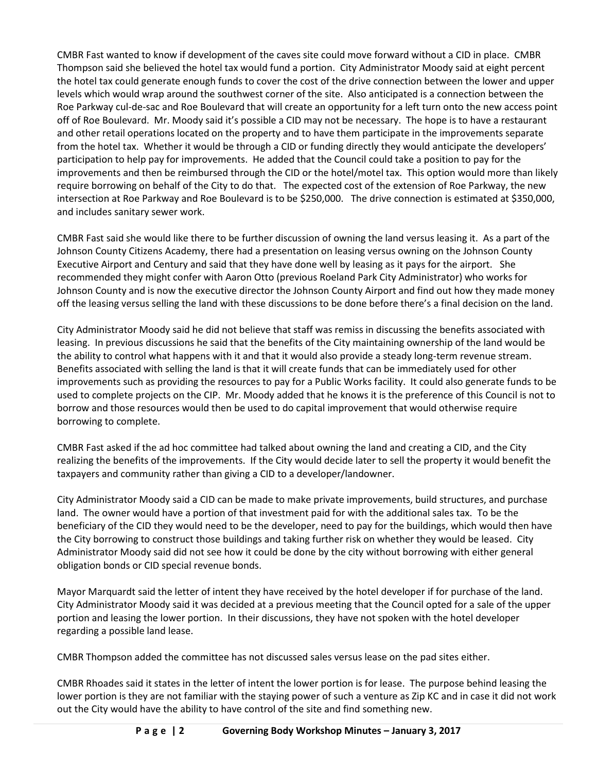CMBR Fast wanted to know if development of the caves site could move forward without a CID in place. CMBR Thompson said she believed the hotel tax would fund a portion. City Administrator Moody said at eight percent the hotel tax could generate enough funds to cover the cost of the drive connection between the lower and upper levels which would wrap around the southwest corner of the site. Also anticipated is a connection between the Roe Parkway cul-de-sac and Roe Boulevard that will create an opportunity for a left turn onto the new access point off of Roe Boulevard. Mr. Moody said it's possible a CID may not be necessary. The hope is to have a restaurant and other retail operations located on the property and to have them participate in the improvements separate from the hotel tax. Whether it would be through a CID or funding directly they would anticipate the developers' participation to help pay for improvements. He added that the Council could take a position to pay for the improvements and then be reimbursed through the CID or the hotel/motel tax. This option would more than likely require borrowing on behalf of the City to do that. The expected cost of the extension of Roe Parkway, the new intersection at Roe Parkway and Roe Boulevard is to be \$250,000. The drive connection is estimated at \$350,000, and includes sanitary sewer work.

CMBR Fast said she would like there to be further discussion of owning the land versus leasing it. As a part of the Johnson County Citizens Academy, there had a presentation on leasing versus owning on the Johnson County Executive Airport and Century and said that they have done well by leasing as it pays for the airport. She recommended they might confer with Aaron Otto (previous Roeland Park City Administrator) who works for Johnson County and is now the executive director the Johnson County Airport and find out how they made money off the leasing versus selling the land with these discussions to be done before there's a final decision on the land.

City Administrator Moody said he did not believe that staff was remiss in discussing the benefits associated with leasing. In previous discussions he said that the benefits of the City maintaining ownership of the land would be the ability to control what happens with it and that it would also provide a steady long-term revenue stream. Benefits associated with selling the land is that it will create funds that can be immediately used for other improvements such as providing the resources to pay for a Public Works facility. It could also generate funds to be used to complete projects on the CIP. Mr. Moody added that he knows it is the preference of this Council is not to borrow and those resources would then be used to do capital improvement that would otherwise require borrowing to complete.

CMBR Fast asked if the ad hoc committee had talked about owning the land and creating a CID, and the City realizing the benefits of the improvements. If the City would decide later to sell the property it would benefit the taxpayers and community rather than giving a CID to a developer/landowner.

City Administrator Moody said a CID can be made to make private improvements, build structures, and purchase land. The owner would have a portion of that investment paid for with the additional sales tax. To be the beneficiary of the CID they would need to be the developer, need to pay for the buildings, which would then have the City borrowing to construct those buildings and taking further risk on whether they would be leased. City Administrator Moody said did not see how it could be done by the city without borrowing with either general obligation bonds or CID special revenue bonds.

Mayor Marquardt said the letter of intent they have received by the hotel developer if for purchase of the land. City Administrator Moody said it was decided at a previous meeting that the Council opted for a sale of the upper portion and leasing the lower portion. In their discussions, they have not spoken with the hotel developer regarding a possible land lease.

CMBR Thompson added the committee has not discussed sales versus lease on the pad sites either.

CMBR Rhoades said it states in the letter of intent the lower portion is for lease. The purpose behind leasing the lower portion is they are not familiar with the staying power of such a venture as Zip KC and in case it did not work out the City would have the ability to have control of the site and find something new.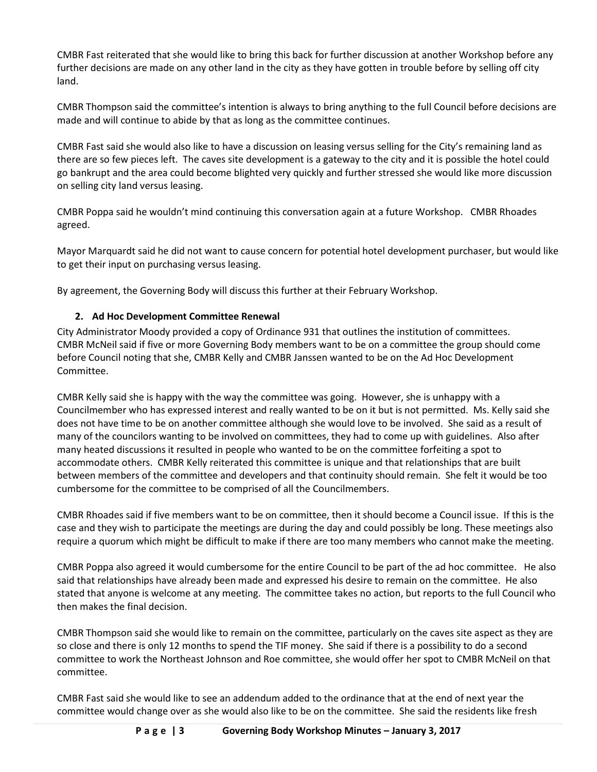CMBR Fast reiterated that she would like to bring this back for further discussion at another Workshop before any further decisions are made on any other land in the city as they have gotten in trouble before by selling off city land.

CMBR Thompson said the committee's intention is always to bring anything to the full Council before decisions are made and will continue to abide by that as long as the committee continues.

CMBR Fast said she would also like to have a discussion on leasing versus selling for the City's remaining land as there are so few pieces left. The caves site development is a gateway to the city and it is possible the hotel could go bankrupt and the area could become blighted very quickly and further stressed she would like more discussion on selling city land versus leasing.

CMBR Poppa said he wouldn't mind continuing this conversation again at a future Workshop. CMBR Rhoades agreed.

Mayor Marquardt said he did not want to cause concern for potential hotel development purchaser, but would like to get their input on purchasing versus leasing.

By agreement, the Governing Body will discuss this further at their February Workshop.

# **2. Ad Hoc Development Committee Renewal**

City Administrator Moody provided a copy of Ordinance 931 that outlines the institution of committees. CMBR McNeil said if five or more Governing Body members want to be on a committee the group should come before Council noting that she, CMBR Kelly and CMBR Janssen wanted to be on the Ad Hoc Development Committee.

CMBR Kelly said she is happy with the way the committee was going. However, she is unhappy with a Councilmember who has expressed interest and really wanted to be on it but is not permitted. Ms. Kelly said she does not have time to be on another committee although she would love to be involved. She said as a result of many of the councilors wanting to be involved on committees, they had to come up with guidelines. Also after many heated discussions it resulted in people who wanted to be on the committee forfeiting a spot to accommodate others. CMBR Kelly reiterated this committee is unique and that relationships that are built between members of the committee and developers and that continuity should remain. She felt it would be too cumbersome for the committee to be comprised of all the Councilmembers.

CMBR Rhoades said if five members want to be on committee, then it should become a Council issue. If this is the case and they wish to participate the meetings are during the day and could possibly be long. These meetings also require a quorum which might be difficult to make if there are too many members who cannot make the meeting.

CMBR Poppa also agreed it would cumbersome for the entire Council to be part of the ad hoc committee. He also said that relationships have already been made and expressed his desire to remain on the committee. He also stated that anyone is welcome at any meeting. The committee takes no action, but reports to the full Council who then makes the final decision.

CMBR Thompson said she would like to remain on the committee, particularly on the caves site aspect as they are so close and there is only 12 months to spend the TIF money. She said if there is a possibility to do a second committee to work the Northeast Johnson and Roe committee, she would offer her spot to CMBR McNeil on that committee.

CMBR Fast said she would like to see an addendum added to the ordinance that at the end of next year the committee would change over as she would also like to be on the committee. She said the residents like fresh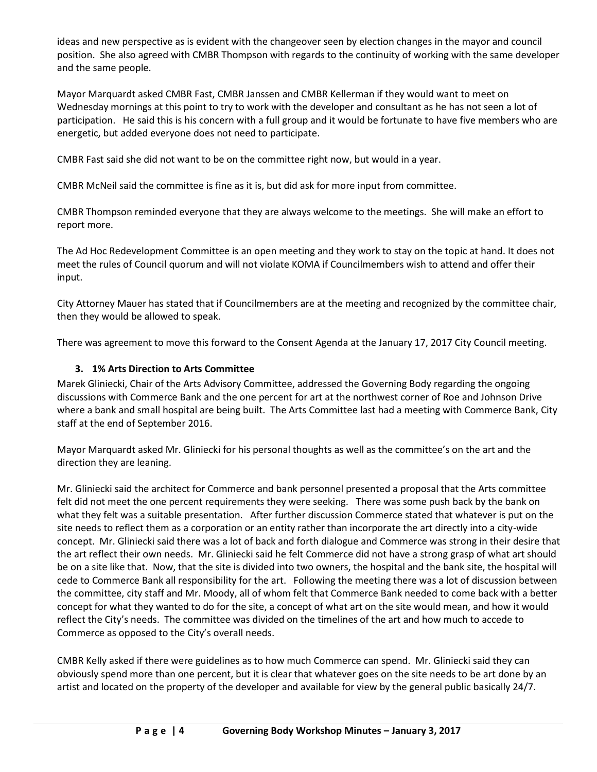ideas and new perspective as is evident with the changeover seen by election changes in the mayor and council position. She also agreed with CMBR Thompson with regards to the continuity of working with the same developer and the same people.

Mayor Marquardt asked CMBR Fast, CMBR Janssen and CMBR Kellerman if they would want to meet on Wednesday mornings at this point to try to work with the developer and consultant as he has not seen a lot of participation. He said this is his concern with a full group and it would be fortunate to have five members who are energetic, but added everyone does not need to participate.

CMBR Fast said she did not want to be on the committee right now, but would in a year.

CMBR McNeil said the committee is fine as it is, but did ask for more input from committee.

CMBR Thompson reminded everyone that they are always welcome to the meetings. She will make an effort to report more.

The Ad Hoc Redevelopment Committee is an open meeting and they work to stay on the topic at hand. It does not meet the rules of Council quorum and will not violate KOMA if Councilmembers wish to attend and offer their input.

City Attorney Mauer has stated that if Councilmembers are at the meeting and recognized by the committee chair, then they would be allowed to speak.

There was agreement to move this forward to the Consent Agenda at the January 17, 2017 City Council meeting.

## **3. 1% Arts Direction to Arts Committee**

Marek Gliniecki, Chair of the Arts Advisory Committee, addressed the Governing Body regarding the ongoing discussions with Commerce Bank and the one percent for art at the northwest corner of Roe and Johnson Drive where a bank and small hospital are being built. The Arts Committee last had a meeting with Commerce Bank, City staff at the end of September 2016.

Mayor Marquardt asked Mr. Gliniecki for his personal thoughts as well as the committee's on the art and the direction they are leaning.

Mr. Gliniecki said the architect for Commerce and bank personnel presented a proposal that the Arts committee felt did not meet the one percent requirements they were seeking. There was some push back by the bank on what they felt was a suitable presentation. After further discussion Commerce stated that whatever is put on the site needs to reflect them as a corporation or an entity rather than incorporate the art directly into a city-wide concept. Mr. Gliniecki said there was a lot of back and forth dialogue and Commerce was strong in their desire that the art reflect their own needs. Mr. Gliniecki said he felt Commerce did not have a strong grasp of what art should be on a site like that. Now, that the site is divided into two owners, the hospital and the bank site, the hospital will cede to Commerce Bank all responsibility for the art. Following the meeting there was a lot of discussion between the committee, city staff and Mr. Moody, all of whom felt that Commerce Bank needed to come back with a better concept for what they wanted to do for the site, a concept of what art on the site would mean, and how it would reflect the City's needs. The committee was divided on the timelines of the art and how much to accede to Commerce as opposed to the City's overall needs.

CMBR Kelly asked if there were guidelines as to how much Commerce can spend. Mr. Gliniecki said they can obviously spend more than one percent, but it is clear that whatever goes on the site needs to be art done by an artist and located on the property of the developer and available for view by the general public basically 24/7.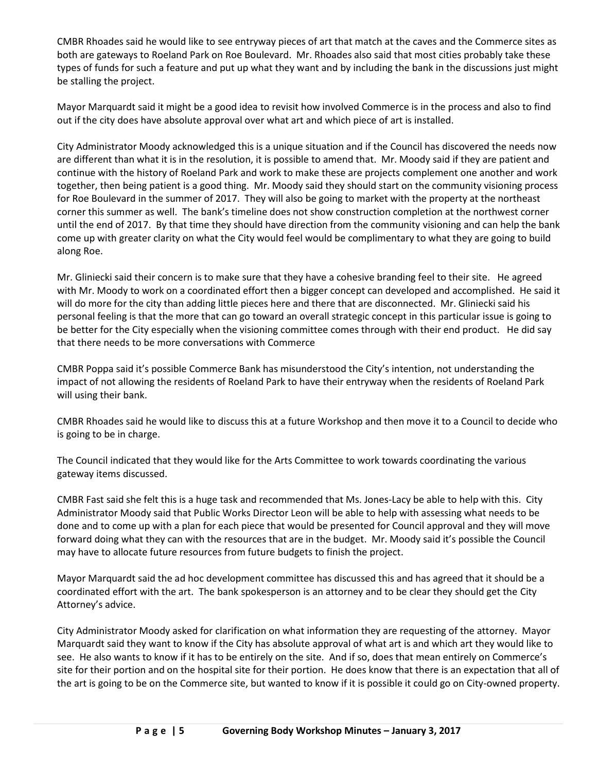CMBR Rhoades said he would like to see entryway pieces of art that match at the caves and the Commerce sites as both are gateways to Roeland Park on Roe Boulevard. Mr. Rhoades also said that most cities probably take these types of funds for such a feature and put up what they want and by including the bank in the discussions just might be stalling the project.

Mayor Marquardt said it might be a good idea to revisit how involved Commerce is in the process and also to find out if the city does have absolute approval over what art and which piece of art is installed.

City Administrator Moody acknowledged this is a unique situation and if the Council has discovered the needs now are different than what it is in the resolution, it is possible to amend that. Mr. Moody said if they are patient and continue with the history of Roeland Park and work to make these are projects complement one another and work together, then being patient is a good thing. Mr. Moody said they should start on the community visioning process for Roe Boulevard in the summer of 2017. They will also be going to market with the property at the northeast corner this summer as well. The bank's timeline does not show construction completion at the northwest corner until the end of 2017. By that time they should have direction from the community visioning and can help the bank come up with greater clarity on what the City would feel would be complimentary to what they are going to build along Roe.

Mr. Gliniecki said their concern is to make sure that they have a cohesive branding feel to their site. He agreed with Mr. Moody to work on a coordinated effort then a bigger concept can developed and accomplished. He said it will do more for the city than adding little pieces here and there that are disconnected. Mr. Gliniecki said his personal feeling is that the more that can go toward an overall strategic concept in this particular issue is going to be better for the City especially when the visioning committee comes through with their end product. He did say that there needs to be more conversations with Commerce

CMBR Poppa said it's possible Commerce Bank has misunderstood the City's intention, not understanding the impact of not allowing the residents of Roeland Park to have their entryway when the residents of Roeland Park will using their bank.

CMBR Rhoades said he would like to discuss this at a future Workshop and then move it to a Council to decide who is going to be in charge.

The Council indicated that they would like for the Arts Committee to work towards coordinating the various gateway items discussed.

CMBR Fast said she felt this is a huge task and recommended that Ms. Jones-Lacy be able to help with this. City Administrator Moody said that Public Works Director Leon will be able to help with assessing what needs to be done and to come up with a plan for each piece that would be presented for Council approval and they will move forward doing what they can with the resources that are in the budget. Mr. Moody said it's possible the Council may have to allocate future resources from future budgets to finish the project.

Mayor Marquardt said the ad hoc development committee has discussed this and has agreed that it should be a coordinated effort with the art. The bank spokesperson is an attorney and to be clear they should get the City Attorney's advice.

City Administrator Moody asked for clarification on what information they are requesting of the attorney. Mayor Marquardt said they want to know if the City has absolute approval of what art is and which art they would like to see. He also wants to know if it has to be entirely on the site. And if so, does that mean entirely on Commerce's site for their portion and on the hospital site for their portion. He does know that there is an expectation that all of the art is going to be on the Commerce site, but wanted to know if it is possible it could go on City-owned property.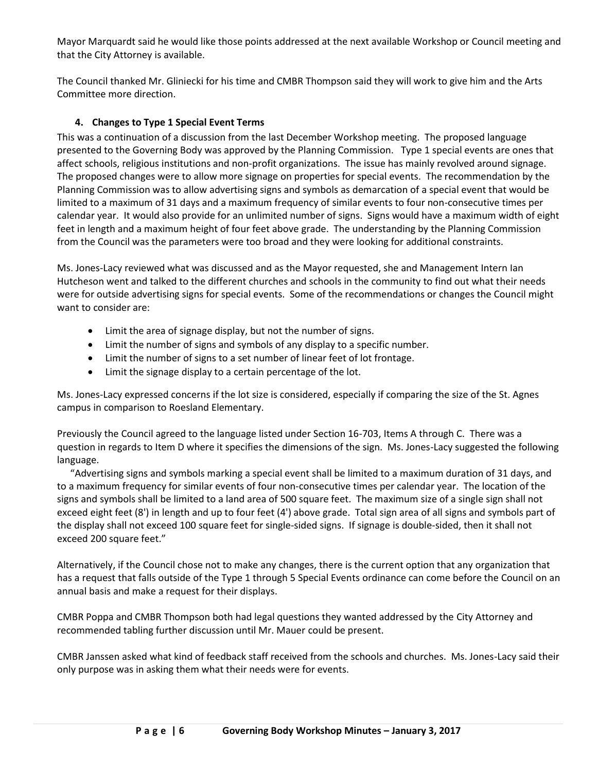Mayor Marquardt said he would like those points addressed at the next available Workshop or Council meeting and that the City Attorney is available.

The Council thanked Mr. Gliniecki for his time and CMBR Thompson said they will work to give him and the Arts Committee more direction.

# **4. Changes to Type 1 Special Event Terms**

This was a continuation of a discussion from the last December Workshop meeting. The proposed language presented to the Governing Body was approved by the Planning Commission. Type 1 special events are ones that affect schools, religious institutions and non-profit organizations. The issue has mainly revolved around signage. The proposed changes were to allow more signage on properties for special events. The recommendation by the Planning Commission was to allow advertising signs and symbols as demarcation of a special event that would be limited to a maximum of 31 days and a maximum frequency of similar events to four non-consecutive times per calendar year. It would also provide for an unlimited number of signs. Signs would have a maximum width of eight feet in length and a maximum height of four feet above grade. The understanding by the Planning Commission from the Council was the parameters were too broad and they were looking for additional constraints.

Ms. Jones-Lacy reviewed what was discussed and as the Mayor requested, she and Management Intern Ian Hutcheson went and talked to the different churches and schools in the community to find out what their needs were for outside advertising signs for special events. Some of the recommendations or changes the Council might want to consider are:

- Limit the area of signage display, but not the number of signs.
- Limit the number of signs and symbols of any display to a specific number.
- Limit the number of signs to a set number of linear feet of lot frontage.
- Limit the signage display to a certain percentage of the lot.

Ms. Jones-Lacy expressed concerns if the lot size is considered, especially if comparing the size of the St. Agnes campus in comparison to Roesland Elementary.

Previously the Council agreed to the language listed under Section 16-703, Items A through C. There was a question in regards to Item D where it specifies the dimensions of the sign. Ms. Jones-Lacy suggested the following language.

"Advertising signs and symbols marking a special event shall be limited to a maximum duration of 31 days, and to a maximum frequency for similar events of four non-consecutive times per calendar year. The location of the signs and symbols shall be limited to a land area of 500 square feet. The maximum size of a single sign shall not exceed eight feet (8') in length and up to four feet (4') above grade. Total sign area of all signs and symbols part of the display shall not exceed 100 square feet for single-sided signs. If signage is double-sided, then it shall not exceed 200 square feet."

Alternatively, if the Council chose not to make any changes, there is the current option that any organization that has a request that falls outside of the Type 1 through 5 Special Events ordinance can come before the Council on an annual basis and make a request for their displays.

CMBR Poppa and CMBR Thompson both had legal questions they wanted addressed by the City Attorney and recommended tabling further discussion until Mr. Mauer could be present.

CMBR Janssen asked what kind of feedback staff received from the schools and churches. Ms. Jones-Lacy said their only purpose was in asking them what their needs were for events.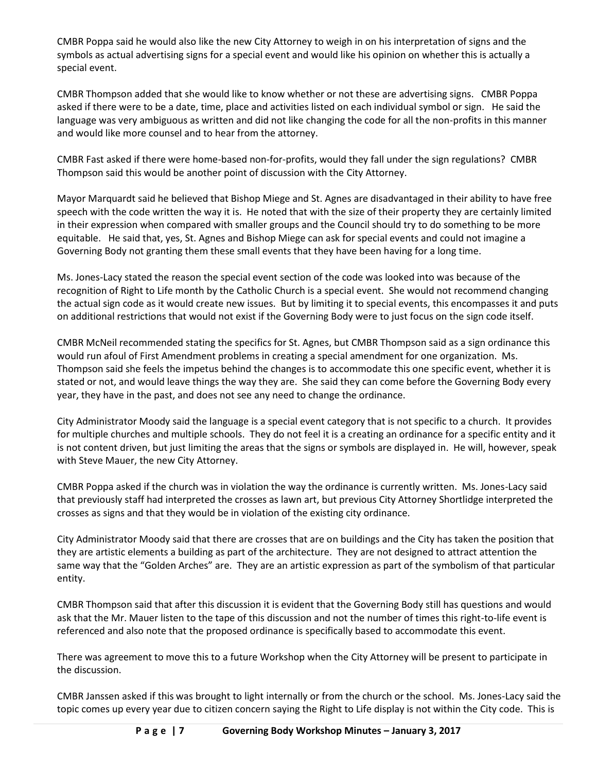CMBR Poppa said he would also like the new City Attorney to weigh in on his interpretation of signs and the symbols as actual advertising signs for a special event and would like his opinion on whether this is actually a special event.

CMBR Thompson added that she would like to know whether or not these are advertising signs. CMBR Poppa asked if there were to be a date, time, place and activities listed on each individual symbol or sign. He said the language was very ambiguous as written and did not like changing the code for all the non-profits in this manner and would like more counsel and to hear from the attorney.

CMBR Fast asked if there were home-based non-for-profits, would they fall under the sign regulations? CMBR Thompson said this would be another point of discussion with the City Attorney.

Mayor Marquardt said he believed that Bishop Miege and St. Agnes are disadvantaged in their ability to have free speech with the code written the way it is. He noted that with the size of their property they are certainly limited in their expression when compared with smaller groups and the Council should try to do something to be more equitable. He said that, yes, St. Agnes and Bishop Miege can ask for special events and could not imagine a Governing Body not granting them these small events that they have been having for a long time.

Ms. Jones-Lacy stated the reason the special event section of the code was looked into was because of the recognition of Right to Life month by the Catholic Church is a special event. She would not recommend changing the actual sign code as it would create new issues. But by limiting it to special events, this encompasses it and puts on additional restrictions that would not exist if the Governing Body were to just focus on the sign code itself.

CMBR McNeil recommended stating the specifics for St. Agnes, but CMBR Thompson said as a sign ordinance this would run afoul of First Amendment problems in creating a special amendment for one organization. Ms. Thompson said she feels the impetus behind the changes is to accommodate this one specific event, whether it is stated or not, and would leave things the way they are. She said they can come before the Governing Body every year, they have in the past, and does not see any need to change the ordinance.

City Administrator Moody said the language is a special event category that is not specific to a church. It provides for multiple churches and multiple schools. They do not feel it is a creating an ordinance for a specific entity and it is not content driven, but just limiting the areas that the signs or symbols are displayed in. He will, however, speak with Steve Mauer, the new City Attorney.

CMBR Poppa asked if the church was in violation the way the ordinance is currently written. Ms. Jones-Lacy said that previously staff had interpreted the crosses as lawn art, but previous City Attorney Shortlidge interpreted the crosses as signs and that they would be in violation of the existing city ordinance.

City Administrator Moody said that there are crosses that are on buildings and the City has taken the position that they are artistic elements a building as part of the architecture. They are not designed to attract attention the same way that the "Golden Arches" are. They are an artistic expression as part of the symbolism of that particular entity.

CMBR Thompson said that after this discussion it is evident that the Governing Body still has questions and would ask that the Mr. Mauer listen to the tape of this discussion and not the number of times this right-to-life event is referenced and also note that the proposed ordinance is specifically based to accommodate this event.

There was agreement to move this to a future Workshop when the City Attorney will be present to participate in the discussion.

CMBR Janssen asked if this was brought to light internally or from the church or the school. Ms. Jones-Lacy said the topic comes up every year due to citizen concern saying the Right to Life display is not within the City code. This is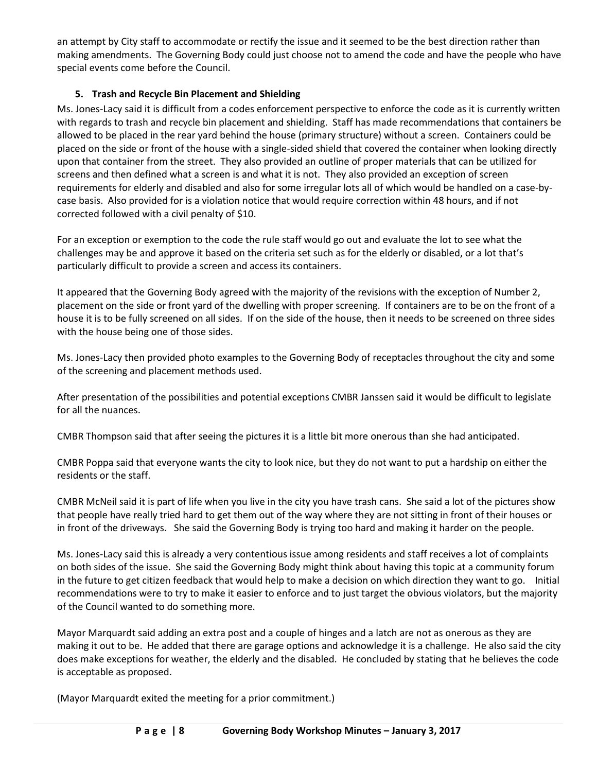an attempt by City staff to accommodate or rectify the issue and it seemed to be the best direction rather than making amendments. The Governing Body could just choose not to amend the code and have the people who have special events come before the Council.

# **5. Trash and Recycle Bin Placement and Shielding**

Ms. Jones-Lacy said it is difficult from a codes enforcement perspective to enforce the code as it is currently written with regards to trash and recycle bin placement and shielding. Staff has made recommendations that containers be allowed to be placed in the rear yard behind the house (primary structure) without a screen. Containers could be placed on the side or front of the house with a single-sided shield that covered the container when looking directly upon that container from the street. They also provided an outline of proper materials that can be utilized for screens and then defined what a screen is and what it is not. They also provided an exception of screen requirements for elderly and disabled and also for some irregular lots all of which would be handled on a case-bycase basis. Also provided for is a violation notice that would require correction within 48 hours, and if not corrected followed with a civil penalty of \$10.

For an exception or exemption to the code the rule staff would go out and evaluate the lot to see what the challenges may be and approve it based on the criteria set such as for the elderly or disabled, or a lot that's particularly difficult to provide a screen and access its containers.

It appeared that the Governing Body agreed with the majority of the revisions with the exception of Number 2, placement on the side or front yard of the dwelling with proper screening. If containers are to be on the front of a house it is to be fully screened on all sides. If on the side of the house, then it needs to be screened on three sides with the house being one of those sides.

Ms. Jones-Lacy then provided photo examples to the Governing Body of receptacles throughout the city and some of the screening and placement methods used.

After presentation of the possibilities and potential exceptions CMBR Janssen said it would be difficult to legislate for all the nuances.

CMBR Thompson said that after seeing the pictures it is a little bit more onerous than she had anticipated.

CMBR Poppa said that everyone wants the city to look nice, but they do not want to put a hardship on either the residents or the staff.

CMBR McNeil said it is part of life when you live in the city you have trash cans. She said a lot of the pictures show that people have really tried hard to get them out of the way where they are not sitting in front of their houses or in front of the driveways. She said the Governing Body is trying too hard and making it harder on the people.

Ms. Jones-Lacy said this is already a very contentious issue among residents and staff receives a lot of complaints on both sides of the issue. She said the Governing Body might think about having this topic at a community forum in the future to get citizen feedback that would help to make a decision on which direction they want to go. Initial recommendations were to try to make it easier to enforce and to just target the obvious violators, but the majority of the Council wanted to do something more.

Mayor Marquardt said adding an extra post and a couple of hinges and a latch are not as onerous as they are making it out to be. He added that there are garage options and acknowledge it is a challenge. He also said the city does make exceptions for weather, the elderly and the disabled. He concluded by stating that he believes the code is acceptable as proposed.

(Mayor Marquardt exited the meeting for a prior commitment.)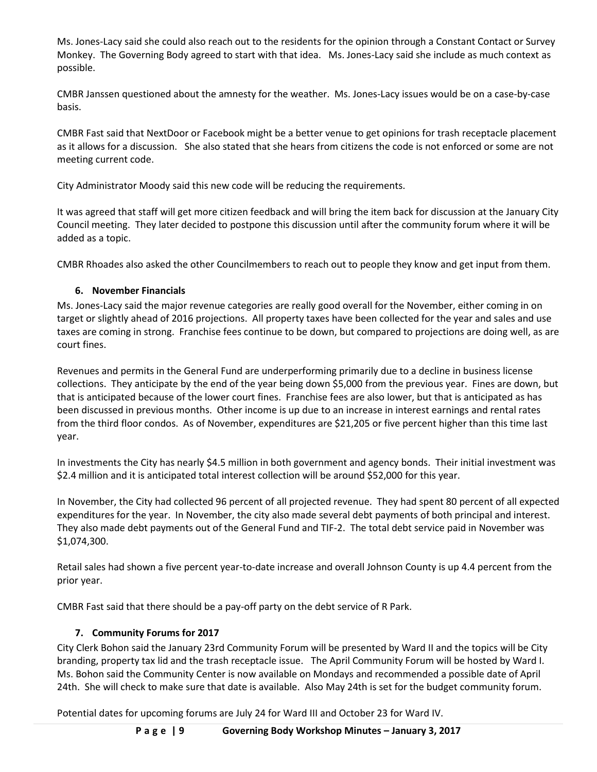Ms. Jones-Lacy said she could also reach out to the residents for the opinion through a Constant Contact or Survey Monkey. The Governing Body agreed to start with that idea. Ms. Jones-Lacy said she include as much context as possible.

CMBR Janssen questioned about the amnesty for the weather. Ms. Jones-Lacy issues would be on a case-by-case basis.

CMBR Fast said that NextDoor or Facebook might be a better venue to get opinions for trash receptacle placement as it allows for a discussion. She also stated that she hears from citizens the code is not enforced or some are not meeting current code.

City Administrator Moody said this new code will be reducing the requirements.

It was agreed that staff will get more citizen feedback and will bring the item back for discussion at the January City Council meeting. They later decided to postpone this discussion until after the community forum where it will be added as a topic.

CMBR Rhoades also asked the other Councilmembers to reach out to people they know and get input from them.

# **6. November Financials**

Ms. Jones-Lacy said the major revenue categories are really good overall for the November, either coming in on target or slightly ahead of 2016 projections. All property taxes have been collected for the year and sales and use taxes are coming in strong. Franchise fees continue to be down, but compared to projections are doing well, as are court fines.

Revenues and permits in the General Fund are underperforming primarily due to a decline in business license collections. They anticipate by the end of the year being down \$5,000 from the previous year. Fines are down, but that is anticipated because of the lower court fines. Franchise fees are also lower, but that is anticipated as has been discussed in previous months. Other income is up due to an increase in interest earnings and rental rates from the third floor condos. As of November, expenditures are \$21,205 or five percent higher than this time last year.

In investments the City has nearly \$4.5 million in both government and agency bonds. Their initial investment was \$2.4 million and it is anticipated total interest collection will be around \$52,000 for this year.

In November, the City had collected 96 percent of all projected revenue. They had spent 80 percent of all expected expenditures for the year. In November, the city also made several debt payments of both principal and interest. They also made debt payments out of the General Fund and TIF-2. The total debt service paid in November was \$1,074,300.

Retail sales had shown a five percent year-to-date increase and overall Johnson County is up 4.4 percent from the prior year.

CMBR Fast said that there should be a pay-off party on the debt service of R Park.

# **7. Community Forums for 2017**

City Clerk Bohon said the January 23rd Community Forum will be presented by Ward II and the topics will be City branding, property tax lid and the trash receptacle issue. The April Community Forum will be hosted by Ward I. Ms. Bohon said the Community Center is now available on Mondays and recommended a possible date of April 24th. She will check to make sure that date is available. Also May 24th is set for the budget community forum.

Potential dates for upcoming forums are July 24 for Ward III and October 23 for Ward IV.